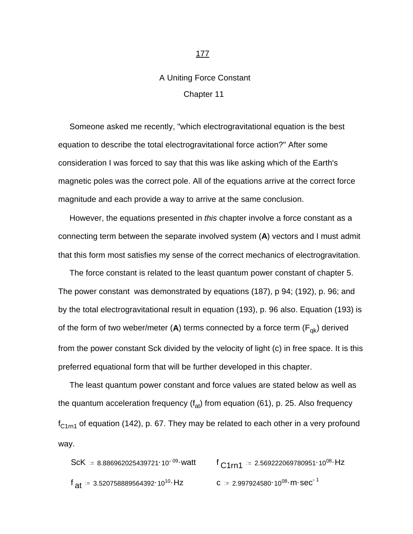## A Uniting Force Constant Chapter 11

 Someone asked me recently, "which electrogravitational equation is the best equation to describe the total electrogravitational force action?" After some consideration I was forced to say that this was like asking which of the Earth's magnetic poles was the correct pole. All of the equations arrive at the correct force magnitude and each provide a way to arrive at the same conclusion.

 However, the equations presented in *this* chapter involve a force constant as a connecting term between the separate involved system (**A**) vectors and I must admit that this form most satisfies my sense of the correct mechanics of electrogravitation.

 The force constant is related to the least quantum power constant of chapter 5. The power constant was demonstrated by equations (187), p 94; (192), p. 96; and by the total electrogravitational result in equation (193), p. 96 also. Equation (193) is of the form of two weber/meter  $(A)$  terms connected by a force term  $(F_{qk})$  derived from the power constant Sck divided by the velocity of light (c) in free space. It is this preferred equational form that will be further developed in this chapter.

 The least quantum power constant and force values are stated below as well as the quantum acceleration frequency  $(f_{at})$  from equation (61), p. 25. Also frequency  $f_{C1rn1}$  of equation (142), p. 67. They may be related to each other in a very profound way.

\n
$$
\text{ScK} = 8.886962025439721 \cdot 10^{-09} \cdot \text{watt}
$$
\n

\n\n $\text{C1m1} = 2.569222069780951 \cdot 10^{08} \cdot \text{Hz}$ \n

\n\n $\text{A1} = 3.520758889564392 \cdot 10^{10} \cdot \text{Hz}$ \n

\n\n $\text{C} = 2.997924580 \cdot 10^{08} \cdot \text{m} \cdot \text{sec}^{-1}$ \n

## 177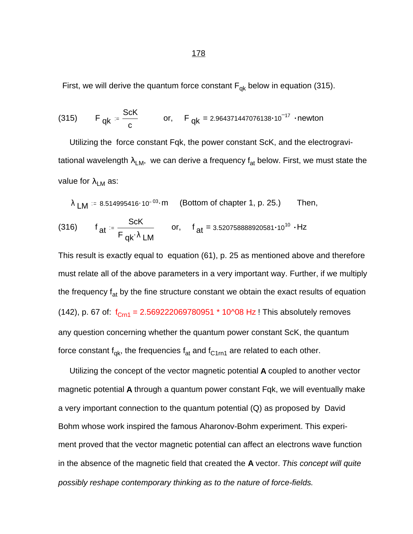First, we will derive the quantum force constant  $F_{qk}$  below in equation (315).

(315) 
$$
F_{qk} = \frac{ScK}{c}
$$
 or,  $F_{qk} = 2.964371447076138 \cdot 10^{-17}$  -newton

 Utilizing the force constant Fqk, the power constant ScK, and the electrogravitational wavelength  $\lambda_{LM}$ , we can derive a frequency  $f_{at}$  below. First, we must state the value for  $\lambda_{LM}$  as:

$$
\lambda \text{ LM} \coloneqq 8.514995416 \cdot 10^{-03} \cdot m \quad \text{(Bottom of chapter 1, p. 25.)} \quad \text{Then,}
$$

(316) 
$$
f_{at} = \frac{ScK}{F_{qk} \cdot \lambda LM}
$$
 or,  $f_{at} = 3.520758888920581 \cdot 10^{10} \cdot Hz$ 

This result is exactly equal to equation (61), p. 25 as mentioned above and therefore must relate all of the above parameters in a very important way. Further, if we multiply the frequency  $f_{at}$  by the fine structure constant we obtain the exact results of equation (142), p. 67 of:  $f_{Cm1} = 2.569222069780951 * 10^08 Hz$  ! This absolutely removes any question concerning whether the quantum power constant ScK, the quantum force constant  $f_{qk}$ , the frequencies  $f_{at}$  and  $f_{C1rn1}$  are related to each other.

 Utilizing the concept of the vector magnetic potential **A** coupled to another vector magnetic potential **A** through a quantum power constant Fqk, we will eventually make a very important connection to the quantum potential (Q) as proposed by David Bohm whose work inspired the famous Aharonov-Bohm experiment. This experiment proved that the vector magnetic potential can affect an electrons wave function in the absence of the magnetic field that created the **A** vector. *This concept will quite possibly reshape contemporary thinking as to the nature of force-fields.*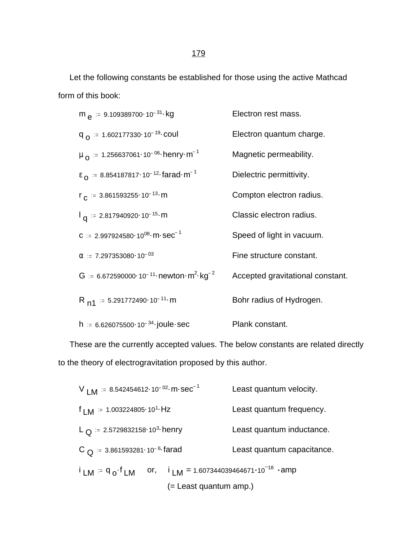Let the following constants be established for those using the active Mathcad form of this book:

$$
m_e := 9.109389700 \cdot 10^{-31} \cdot kg
$$
\n
$$
F_0 = 1.602177330 \cdot 10^{-19} \cdot \text{coul}
$$
\n
$$
m_o := 1.256637061 \cdot 10^{-06} \cdot \text{henry} \cdot m^{-1}
$$
\n
$$
F_0 = 8.854187817 \cdot 10^{-12} \cdot \text{farad} \cdot m^{-1}
$$
\n
$$
F_0 := 8.854187817 \cdot 10^{-12} \cdot \text{farad} \cdot m^{-1}
$$
\n
$$
F_0 := 3.861593255 \cdot 10^{-13} \cdot m
$$
\n
$$
F_0 := 2.817940920 \cdot 10^{-15} \cdot m
$$
\n
$$
F_0 := 2.817940920 \cdot 10^{-15} \cdot m
$$
\n
$$
F_0 := 2.997924580 \cdot 10^{08} \cdot m \cdot sec^{-1}
$$
\n
$$
F_0 := 7.297353080 \cdot 10^{-03}
$$
\n
$$
F_0 := 6.672590000 \cdot 10^{-11} \cdot \text{newton} \cdot m^2 \cdot kg^{-2}
$$
\n
$$
F_0 = \text{structure constant.}
$$
\n
$$
R_{n1} := 5.291772490 \cdot 10^{-11} \cdot m
$$
\n
$$
R_{n2} := 6.626075500 \cdot 10^{-34} \cdot \text{joule} \cdot sec
$$
\n
$$
P \cdot R_{n3} = 6.626075500 \cdot 10^{-34} \cdot \text{joule} \cdot sec
$$
\n
$$
P \cdot R_{n4} = 6.626075500 \cdot 10^{-34} \cdot \text{joule} \cdot sec
$$
\n
$$
P \cdot R_{n5} = 6.626075500 \cdot 10^{-34} \cdot \text{joule} \cdot sec
$$
\n
$$
P \cdot R_{n6} = 6.626075500 \cdot 10^{-
$$

 These are the currently accepted values. The below constants are related directly to the theory of electrogravitation proposed by this author.

$$
V_{LM} = 8.542454612 \cdot 10^{-02} \cdot m \cdot sec^{-1}
$$
 Least quantum velocity.  
\n
$$
I_{LM} = 1.003224805 \cdot 10^{1} \cdot Hz
$$
 Least quantum frequency.  
\n
$$
L_{Q} = 2.5729832158 \cdot 10^{3} \cdot henv
$$
 Least quantum inductance.  
\n
$$
C_{Q} = 3.861593281 \cdot 10^{-6} \cdot farad
$$
 Least quantum capacitance.  
\n
$$
I_{LM} = q_{o} \cdot f_{LM}
$$
 or, 
$$
I_{LM} = 1.607344039464671 \cdot 10^{-18} \cdot amp
$$
  
\n(= Least quantum amp.)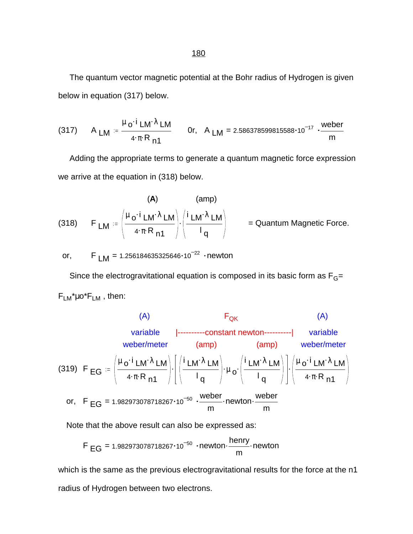The quantum vector magnetic potential at the Bohr radius of Hydrogen is given below in equation (317) below.

(317) 
$$
A_{LM} = \frac{\mu_0 i I_{LM} \lambda LM}{4 \cdot \pi \cdot R_{n1}}
$$
 Or,  $A_{LM} = 2.586378599815588 \cdot 10^{-17} \cdot \frac{\text{weber}}{\text{m}}$ 

 Adding the appropriate terms to generate a quantum magnetic force expression we arrive at the equation in (318) below.

(318) 
$$
F_{LM} = \left(\frac{\mu_0 \cdot i_{LM} \lambda_{LM}}{4 \cdot \pi R_{n1}}\right) \cdot \left(\frac{i_{LM} \lambda_{LM}}{1_q}\right) = \text{Quantum Magnetic Force.}
$$

or, F  $LM = 1.256184635325646 \cdot 10^{-22}$  newton

Since the electrogravitational equation is composed in its basic form as  $F_G=$  $F_{LM}^* \mu o^* F_{LM}$ , then:

(A)

\nvariable

\nvariable

\n(amp)

\n
$$
F_{QK}
$$

\n(A)

\nvariable

\n(amp)

\n(amp)

\nwhether

\n(amp)

\n
$$
F_{QH}
$$

\n(amp)

\n
$$
F_{QH}
$$

\n(amp)

\n
$$
F_{QH}
$$

\n(amp)

\n
$$
F_{QH}
$$

\n(amp)

\n
$$
F_{QH}
$$

\n(amp)

\n
$$
F_{QH}
$$

\n(amp)

\n
$$
F_{QH}
$$

\n(amp)

\n
$$
F_{QH}
$$

\n(amp)

\n
$$
F_{QH}
$$

\n(amp)

\n
$$
F_{QH}
$$

\n(amp)

\n
$$
F_{QH}
$$

\n(amp)

\n
$$
F_{QH}
$$

\n(amp)

\n
$$
F_{QH}
$$

\n(amp)

\n
$$
F_{QH}
$$

\n(amp)

\n
$$
F_{QH}
$$

\n(amp)

\n
$$
F_{QH}
$$

\n(amp)

\n
$$
F_{QH}
$$

\n(amp)

\n
$$
F_{QH}
$$

\n(amp)

\n
$$
F_{QH}
$$

\n(amp)

\n
$$
F_{QH}
$$

\n(amp)

\n
$$
F_{QH}
$$

\n(amp)

\n
$$
F_{QH}
$$

\n(amp)

\n
$$
F_{QH}
$$

\n(amp)

\n
$$
F_{QH}
$$

\n(amp)

\n
$$
F_{QH}
$$

\n(amp)

\n
$$
F_{QH}
$$

\n(amp)

\n
$$
F_{QH}
$$

\n(amp)

\n
$$
F_{QH}
$$

\n(amp)

\n<math display="block</p>

Note that the above result can also be expressed as:

$$
F_{EG} = 1.982973078718267 \cdot 10^{-50} \cdot newton \cdot \frac{henry}{m} \cdot newton
$$

which is the same as the previous electrogravitational results for the force at the n1 radius of Hydrogen between two electrons.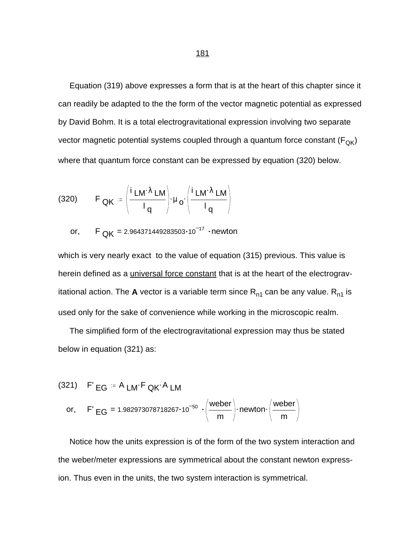Equation (319) above expresses a form that is at the heart of this chapter since it can readily be adapted to the the form of the vector magnetic potential as expressed by David Bohm. It is a total electrogravitational expression involving two separate vector magnetic potential systems coupled through a quantum force constant  $(F_{\text{QK}})$ where that quantum force constant can be expressed by equation (320) below.

(320) 
$$
F_{\mathbf{QK}} := \left(\frac{i \mathbf{LM} \cdot \lambda \mathbf{LM}}{I_{\mathbf{q}}}\right) \cdot \mu_{\mathbf{Q}} \cdot \left(\frac{i \mathbf{LM} \cdot \lambda \mathbf{LM}}{I_{\mathbf{q}}}\right)
$$

or,  $F_{OK} = 2.964371449283503 \cdot 10^{-17}$  • newton

which is very nearly exact to the value of equation (315) previous. This value is herein defined as a *universal force constant* that is at the heart of the electrogravitational action. The **A** vector is a variable term since  $R_{n1}$  can be any value.  $R_{n1}$  is used only for the sake of convenience while working in the microscopic realm.

 The simplified form of the electrogravitational expression may thus be stated below in equation (321) as:

(321) 
$$
F' \text{ EG} = A \text{LM} \cdot F \text{QK} \cdot A \text{LM}
$$
  
or,  $F' \text{EG} = 1.982973078718267 \cdot 10^{-50} \cdot \left(\frac{\text{weber}}{\text{m}}\right) \cdot \text{newton} \cdot \left(\frac{\text{weber}}{\text{m}}\right)$ 

 Notice how the units expression is of the form of the two system interaction and the weber/meter expressions are symmetrical about the constant newton expression. Thus even in the units, the two system interaction is symmetrical.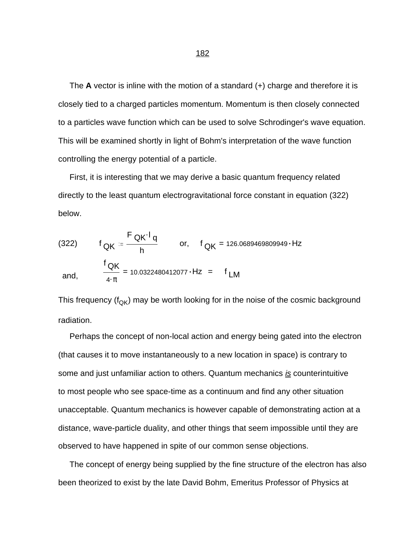The **A** vector is inline with the motion of a standard (+) charge and therefore it is closely tied to a charged particles momentum. Momentum is then closely connected to a particles wave function which can be used to solve Schrodinger's wave equation. This will be examined shortly in light of Bohm's interpretation of the wave function controlling the energy potential of a particle.

 First, it is interesting that we may derive a basic quantum frequency related directly to the least quantum electrogravitational force constant in equation (322) below.

(322) 
$$
f_{QK} = \frac{F_{QK} I_q}{h}
$$
 or,  $f_{QK} = 126.0689469809949 \cdot Hz$   
and,  $\frac{f_{QK}}{4 \cdot \pi} = 10.0322480412077 \cdot Hz = f_{LM}$ 

This frequency ( $f_{QK}$ ) may be worth looking for in the noise of the cosmic background radiation.

 Perhaps the concept of non-local action and energy being gated into the electron (that causes it to move instantaneously to a new location in space) is contrary to some and just unfamiliar action to others. Quantum mechanics *is* counterintuitive to most people who see space-time as a continuum and find any other situation unacceptable. Quantum mechanics is however capable of demonstrating action at a distance, wave-particle duality, and other things that seem impossible until they are observed to have happened in spite of our common sense objections.

 The concept of energy being supplied by the fine structure of the electron has also been theorized to exist by the late David Bohm, Emeritus Professor of Physics at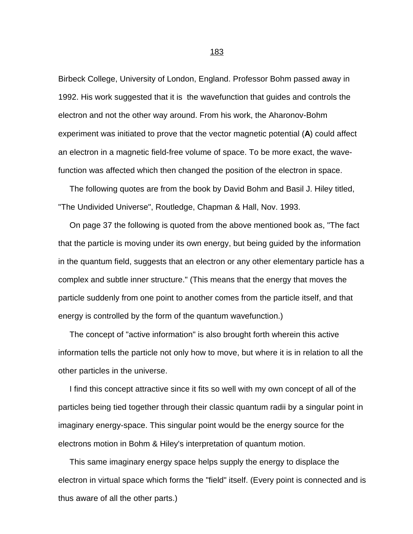Birbeck College, University of London, England. Professor Bohm passed away in 1992. His work suggested that it is the wavefunction that guides and controls the electron and not the other way around. From his work, the Aharonov-Bohm experiment was initiated to prove that the vector magnetic potential (**A**) could affect an electron in a magnetic field-free volume of space. To be more exact, the wavefunction was affected which then changed the position of the electron in space.

 The following quotes are from the book by David Bohm and Basil J. Hiley titled, "The Undivided Universe", Routledge, Chapman & Hall, Nov. 1993.

 On page 37 the following is quoted from the above mentioned book as, "The fact that the particle is moving under its own energy, but being guided by the information in the quantum field, suggests that an electron or any other elementary particle has a complex and subtle inner structure." (This means that the energy that moves the particle suddenly from one point to another comes from the particle itself, and that energy is controlled by the form of the quantum wavefunction.)

 The concept of "active information" is also brought forth wherein this active information tells the particle not only how to move, but where it is in relation to all the other particles in the universe.

 I find this concept attractive since it fits so well with my own concept of all of the particles being tied together through their classic quantum radii by a singular point in imaginary energy-space. This singular point would be the energy source for the electrons motion in Bohm & Hiley's interpretation of quantum motion.

 This same imaginary energy space helps supply the energy to displace the electron in virtual space which forms the "field" itself. (Every point is connected and is thus aware of all the other parts.)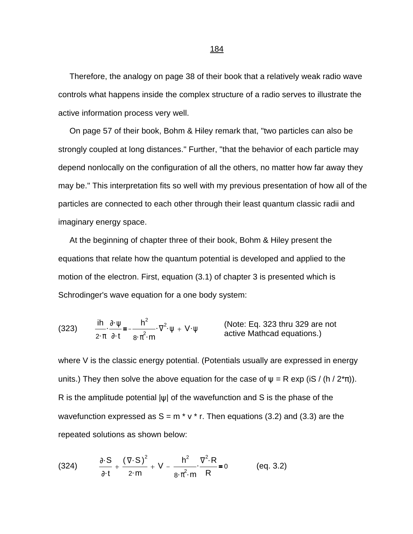Therefore, the analogy on page 38 of their book that a relatively weak radio wave controls what happens inside the complex structure of a radio serves to illustrate the active information process very well.

 On page 57 of their book, Bohm & Hiley remark that, "two particles can also be strongly coupled at long distances." Further, "that the behavior of each particle may depend nonlocally on the configuration of all the others, no matter how far away they may be." This interpretation fits so well with my previous presentation of how all of the particles are connected to each other through their least quantum classic radii and imaginary energy space.

 At the beginning of chapter three of their book, Bohm & Hiley present the equations that relate how the quantum potential is developed and applied to the motion of the electron. First, equation (3.1) of chapter 3 is presented which is Schrodinger's wave equation for a one body system:

(323) 
$$
\frac{\text{ih}}{2 \cdot \pi} \cdot \frac{\partial \cdot \psi}{\partial \cdot t} = -\frac{h^2}{8 \cdot \pi^2 \cdot m} \cdot \nabla^2 \cdot \psi + V \cdot \psi
$$
 (Note: Eq. 323 thru 329 are not active Mathematical equations.)

where V is the classic energy potential. (Potentials usually are expressed in energy units.) They then solve the above equation for the case of  $\psi = R \exp(iS / (h / 2^* \pi))$ . R is the amplitude potential  $|\psi|$  of the wavefunction and S is the phase of the wavefunction expressed as  $S = m * v * r$ . Then equations (3.2) and (3.3) are the repeated solutions as shown below:

(324) 
$$
\frac{\partial \cdot S}{\partial t} + \frac{(\nabla \cdot S)^2}{2 \cdot m} + V - \frac{h^2}{8 \cdot \pi^2 \cdot m} \cdot \frac{\nabla^2 \cdot R}{R} = 0
$$
 (eq. 3.2)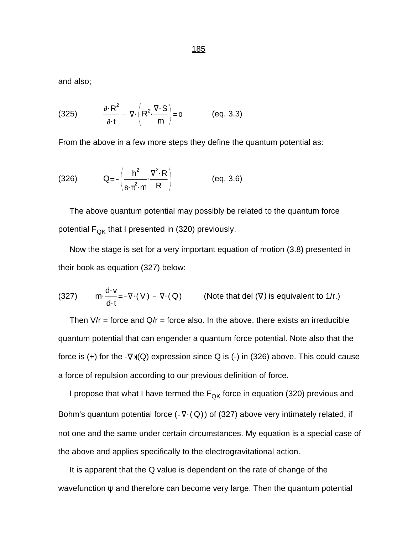and also;

(325) 
$$
\frac{\partial \cdot R^2}{\partial t} + \nabla \cdot \left(R^2 \cdot \frac{\nabla \cdot S}{m}\right) = 0
$$
 (eq. 3.3)

From the above in a few more steps they define the quantum potential as:

(326) 
$$
Q = -\left(\frac{h^2}{8 \cdot \pi^2 \cdot m} \cdot \frac{\nabla^2 \cdot R}{R}\right)
$$
 (eq. 3.6)

 The above quantum potential may possibly be related to the quantum force potential  $F_{QK}$  that I presented in (320) previously.

 Now the stage is set for a very important equation of motion (3.8) presented in their book as equation (327) below:

(327) 
$$
m \cdot \frac{d \cdot v}{d \cdot t} = -\nabla \cdot (V) - \nabla \cdot (Q)
$$
 (Note that del (V) is equivalent to 1/r.)

Then  $V/r$  = force and  $Q/r$  = force also. In the above, there exists an irreducible quantum potential that can engender a quantum force potential. Note also that the force is (+) for the  $-\nabla*(Q)$  expression since Q is (-) in (326) above. This could cause a force of repulsion according to our previous definition of force.

I propose that what I have termed the  $F_{OK}$  force in equation (320) previous and Bohm's quantum potential force  $(-\nabla \cdot (Q))$  of (327) above very intimately related, if not one and the same under certain circumstances. My equation is a special case of the above and applies specifically to the electrogravitational action.

 It is apparent that the Q value is dependent on the rate of change of the wavefunction  $\psi$  and therefore can become very large. Then the quantum potential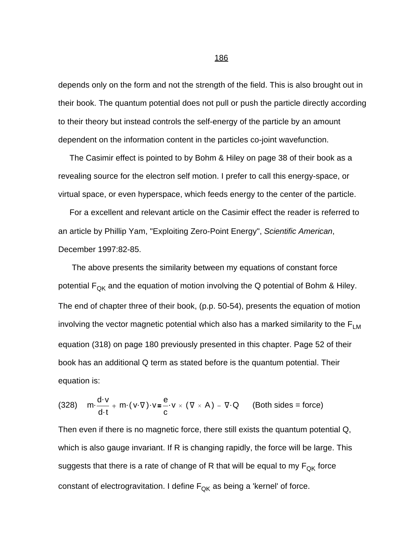depends only on the form and not the strength of the field. This is also brought out in their book. The quantum potential does not pull or push the particle directly according to their theory but instead controls the self-energy of the particle by an amount dependent on the information content in the particles co-joint wavefunction.

 The Casimir effect is pointed to by Bohm & Hiley on page 38 of their book as a revealing source for the electron self motion. I prefer to call this energy-space, or virtual space, or even hyperspace, which feeds energy to the center of the particle.

 For a excellent and relevant article on the Casimir effect the reader is referred to an article by Phillip Yam, "Exploiting Zero-Point Energy", *Scientific American*, December 1997:82-85.

 The above presents the similarity between my equations of constant force potential  $F_{QK}$  and the equation of motion involving the Q potential of Bohm & Hiley. The end of chapter three of their book, (p.p. 50-54), presents the equation of motion involving the vector magnetic potential which also has a marked similarity to the  $F_{LM}$ equation (318) on page 180 previously presented in this chapter. Page 52 of their book has an additional Q term as stated before is the quantum potential. Their equation is:

(328) 
$$
m \cdot \frac{d \cdot v}{d \cdot t} + m \cdot (v \cdot \nabla) \cdot v = \frac{e}{c} \cdot v \times (\nabla \times A) - \nabla \cdot Q
$$
 (Both sides = force)

Then even if there is no magnetic force, there still exists the quantum potential Q, which is also gauge invariant. If R is changing rapidly, the force will be large. This suggests that there is a rate of change of R that will be equal to my  $F_{QK}$  force constant of electrogravitation. I define  $F_{OK}$  as being a 'kernel' of force.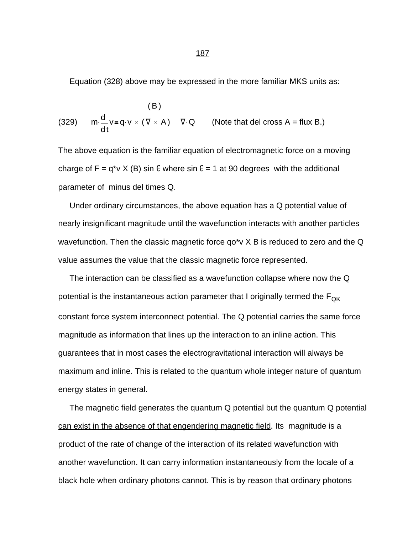Equation (328) above may be expressed in the more familiar MKS units as:

(329) 
$$
m \cdot \frac{d}{dt} v = q \cdot v \times (\nabla \times A) - \nabla \cdot Q
$$
 (Note that del cross A = flux B.)

The above equation is the familiar equation of electromagnetic force on a moving charge of  $F = q^*v X$  (B) sin  $\theta$  where sin  $\theta = 1$  at 90 degrees with the additional parameter of minus del times Q.

 Under ordinary circumstances, the above equation has a Q potential value of nearly insignificant magnitude until the wavefunction interacts with another particles wavefunction. Then the classic magnetic force qo\*v X B is reduced to zero and the Q value assumes the value that the classic magnetic force represented.

 The interaction can be classified as a wavefunction collapse where now the Q potential is the instantaneous action parameter that I originally termed the  $F_{OK}$ constant force system interconnect potential. The Q potential carries the same force magnitude as information that lines up the interaction to an inline action. This guarantees that in most cases the electrogravitational interaction will always be maximum and inline. This is related to the quantum whole integer nature of quantum energy states in general.

 The magnetic field generates the quantum Q potential but the quantum Q potential can exist in the absence of that engendering magnetic field. Its magnitude is a product of the rate of change of the interaction of its related wavefunction with another wavefunction. It can carry information instantaneously from the locale of a black hole when ordinary photons cannot. This is by reason that ordinary photons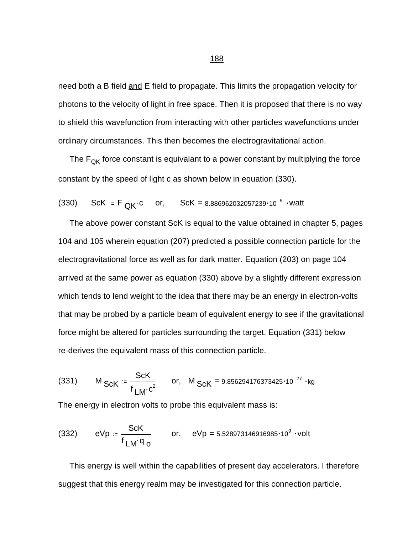need both a B field and E field to propagate. This limits the propagation velocity for photons to the velocity of light in free space. Then it is proposed that there is no way to shield this wavefunction from interacting with other particles wavefunctions under ordinary circumstances. This then becomes the electrogravitational action.

The  $F_{OK}$  force constant is equivalant to a power constant by multiplying the force constant by the speed of light c as shown below in equation (330).

(330) 
$$
ScK := F_{QK} \cdot c
$$
 or,  $ScK = 8.886962032057239 \cdot 10^{-9} \cdot \text{watt}$ 

 The above power constant ScK is equal to the value obtained in chapter 5, pages 104 and 105 wherein equation (207) predicted a possible connection particle for the electrogravitational force as well as for dark matter. Equation (203) on page 104 arrived at the same power as equation (330) above by a slightly different expression which tends to lend weight to the idea that there may be an energy in electron-volts that may be probed by a particle beam of equivalent energy to see if the gravitational force might be altered for particles surrounding the target. Equation (331) below re-derives the equivalent mass of this connection particle.

(331) 
$$
M_{ScK} = {ScK \over f_{LM} \cdot c^2}
$$
 or,  $M_{ScK} = 9.856294176373425 \cdot 10^{-27} \cdot kg$ 

The energy in electron volts to probe this equivalent mass is:

(332) 
$$
eVp = \frac{ScK}{f_{LM}q_o}
$$
 or,  $eVp = 5.528973146916985 \cdot 10^9 \cdot volt$ 

 This energy is well within the capabilities of present day accelerators. I therefore suggest that this energy realm may be investigated for this connection particle.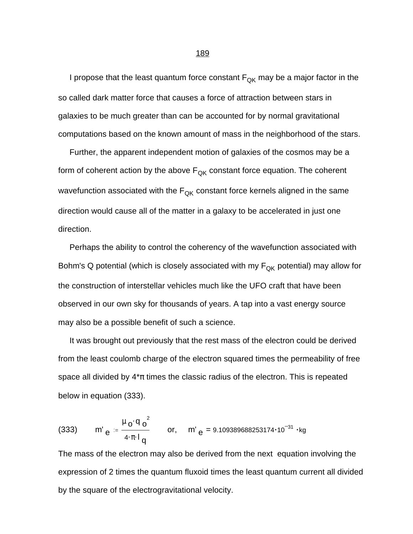I propose that the least quantum force constant  $F_{QK}$  may be a major factor in the so called dark matter force that causes a force of attraction between stars in galaxies to be much greater than can be accounted for by normal gravitational computations based on the known amount of mass in the neighborhood of the stars.

 Further, the apparent independent motion of galaxies of the cosmos may be a form of coherent action by the above  $F_{OK}$  constant force equation. The coherent wavefunction associated with the  $F_{QK}$  constant force kernels aligned in the same direction would cause all of the matter in a galaxy to be accelerated in just one direction.

 Perhaps the ability to control the coherency of the wavefunction associated with Bohm's Q potential (which is closely associated with my  $F_{QK}$  potential) may allow for the construction of interstellar vehicles much like the UFO craft that have been observed in our own sky for thousands of years. A tap into a vast energy source may also be a possible benefit of such a science.

 It was brought out previously that the rest mass of the electron could be derived from the least coulomb charge of the electron squared times the permeability of free space all divided by  $4*\pi$  times the classic radius of the electron. This is repeated below in equation (333).

(333) m' 
$$
e = \frac{\mu_0 q_0^2}{4 \pi I_q}
$$
 or, m'  $e = 9.109389688253174 \cdot 10^{-31} \cdot kg$ 

The mass of the electron may also be derived from the next equation involving the expression of 2 times the quantum fluxoid times the least quantum current all divided by the square of the electrogravitational velocity.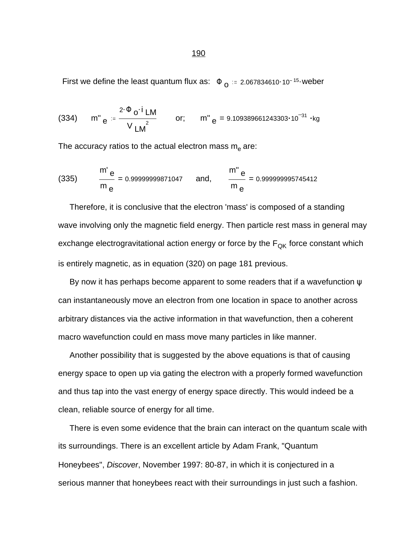First we define the least quantum flux as:  $\Phi$  <sub>O</sub> = 2.067834610·10<sup>-15</sup> weber

(334) m''<sub>e</sub> = 
$$
\frac{2 \cdot \Phi_0 \cdot i}{V_{LM}^2}
$$
 or; m''<sub>e</sub> = 9.109389661243303·10<sup>-31</sup> · kg

The accuracy ratios to the actual electron mass  $\mathsf{m}_{\mathsf{e}}$  are:

(335) 
$$
\frac{m^{\prime} e}{m e} = 0.9999999871047 \text{ and, } \frac{m^{\prime \prime} e}{m e} = 0.999999995745412
$$

 Therefore, it is conclusive that the electron 'mass' is composed of a standing wave involving only the magnetic field energy. Then particle rest mass in general may exchange electrogravitational action energy or force by the  $F_{QK}$  force constant which is entirely magnetic, as in equation (320) on page 181 previous.

By now it has perhaps become apparent to some readers that if a wavefunction  $\psi$ can instantaneously move an electron from one location in space to another across arbitrary distances via the active information in that wavefunction, then a coherent macro wavefunction could en mass move many particles in like manner.

 Another possibility that is suggested by the above equations is that of causing energy space to open up via gating the electron with a properly formed wavefunction and thus tap into the vast energy of energy space directly. This would indeed be a clean, reliable source of energy for all time.

 There is even some evidence that the brain can interact on the quantum scale with its surroundings. There is an excellent article by Adam Frank, "Quantum Honeybees", *Discover*, November 1997: 80-87, in which it is conjectured in a serious manner that honeybees react with their surroundings in just such a fashion.